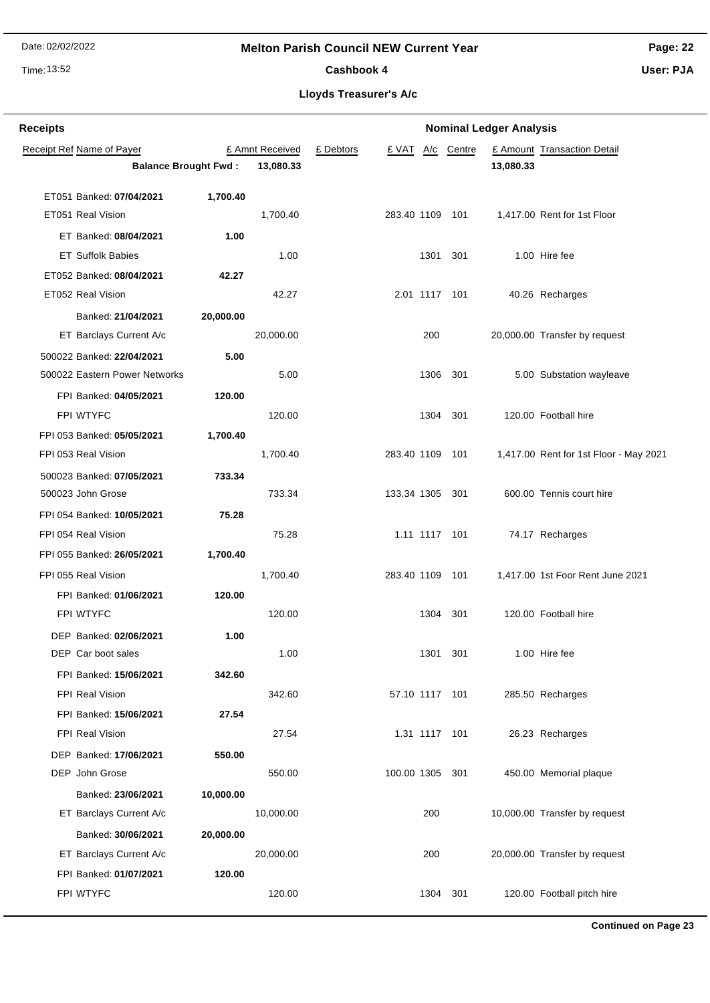## **Melton Parish Council NEW Current Year**

Time: 13:52

# **Page: 22**

Cashbook 4

**User: PJA**

| <b>Receipts</b> |                               |           |                 |           |                 |          |            | <b>Nominal Ledger Analysis</b> |                                        |
|-----------------|-------------------------------|-----------|-----------------|-----------|-----------------|----------|------------|--------------------------------|----------------------------------------|
|                 | Receipt Ref Name of Payer     |           | £ Amnt Received | £ Debtors | £ VAT           |          | A/c Centre |                                | £ Amount Transaction Detail            |
|                 | <b>Balance Brought Fwd:</b>   |           | 13,080.33       |           |                 |          |            | 13,080.33                      |                                        |
|                 | ET051 Banked: 07/04/2021      | 1,700.40  |                 |           |                 |          |            |                                |                                        |
|                 | ET051 Real Vision             |           | 1,700.40        |           | 283.40 1109 101 |          |            |                                | 1,417.00 Rent for 1st Floor            |
|                 | ET Banked: 08/04/2021         | 1.00      |                 |           |                 |          |            |                                |                                        |
|                 | <b>ET Suffolk Babies</b>      |           | 1.00            |           |                 | 1301     | 301        |                                | 1.00 Hire fee                          |
|                 | ET052 Banked: 08/04/2021      | 42.27     |                 |           |                 |          |            |                                |                                        |
|                 | ET052 Real Vision             |           | 42.27           |           | 2.01 1117 101   |          |            |                                | 40.26 Recharges                        |
|                 | Banked: 21/04/2021            | 20,000.00 |                 |           |                 |          |            |                                |                                        |
|                 | ET Barclays Current A/c       |           | 20,000.00       |           |                 | 200      |            |                                | 20,000.00 Transfer by request          |
|                 | 500022 Banked: 22/04/2021     | 5.00      |                 |           |                 |          |            |                                |                                        |
|                 | 500022 Eastern Power Networks |           | 5.00            |           |                 | 1306 301 |            |                                | 5.00 Substation wayleave               |
|                 | FPI Banked: 04/05/2021        | 120.00    |                 |           |                 |          |            |                                |                                        |
|                 | FPI WTYFC                     |           | 120.00          |           |                 | 1304     | 301        |                                | 120.00 Football hire                   |
|                 | FPI 053 Banked: 05/05/2021    | 1,700.40  |                 |           |                 |          |            |                                |                                        |
|                 | FPI 053 Real Vision           |           | 1,700.40        |           | 283.40 1109 101 |          |            |                                | 1,417.00 Rent for 1st Floor - May 2021 |
|                 | 500023 Banked: 07/05/2021     | 733.34    |                 |           |                 |          |            |                                |                                        |
|                 | 500023 John Grose             |           | 733.34          |           | 133.34 1305 301 |          |            |                                | 600.00 Tennis court hire               |
|                 | FPI 054 Banked: 10/05/2021    | 75.28     |                 |           |                 |          |            |                                |                                        |
|                 | FPI 054 Real Vision           |           | 75.28           |           | 1.11 1117 101   |          |            |                                | 74.17 Recharges                        |
|                 | FPI 055 Banked: 26/05/2021    | 1,700.40  |                 |           |                 |          |            |                                |                                        |
|                 | FPI 055 Real Vision           |           | 1,700.40        |           | 283.40 1109 101 |          |            |                                | 1,417.00 1st Foor Rent June 2021       |
|                 | FPI Banked: 01/06/2021        | 120.00    |                 |           |                 |          |            |                                |                                        |
|                 | FPI WTYFC                     |           | 120.00          |           |                 | 1304     | 301        |                                | 120.00 Football hire                   |
|                 | DEP Banked: 02/06/2021        | 1.00      |                 |           |                 |          |            |                                |                                        |
|                 | DEP Car boot sales            |           | 1.00            |           |                 | 1301 301 |            |                                | 1.00 Hire fee                          |
|                 | FPI Banked: 15/06/2021        | 342.60    |                 |           |                 |          |            |                                |                                        |
|                 | FPI Real Vision               |           | 342.60          |           | 57.10 1117 101  |          |            |                                | 285.50 Recharges                       |
|                 | FPI Banked: 15/06/2021        | 27.54     |                 |           |                 |          |            |                                |                                        |
|                 | FPI Real Vision               |           | 27.54           |           | 1.31 1117 101   |          |            |                                | 26.23 Recharges                        |
|                 | DEP Banked: 17/06/2021        | 550.00    |                 |           |                 |          |            |                                |                                        |
|                 | DEP John Grose                |           | 550.00          |           | 100.00 1305 301 |          |            |                                | 450.00 Memorial plaque                 |
|                 | Banked: 23/06/2021            | 10,000.00 |                 |           |                 |          |            |                                |                                        |
|                 | ET Barclays Current A/c       |           | 10,000.00       |           |                 | 200      |            |                                | 10,000.00 Transfer by request          |
|                 | Banked: 30/06/2021            | 20,000.00 |                 |           |                 |          |            |                                |                                        |
|                 | ET Barclays Current A/c       |           | 20,000.00       |           |                 | 200      |            |                                | 20,000.00 Transfer by request          |
|                 | FPI Banked: 01/07/2021        | 120.00    |                 |           |                 |          |            |                                |                                        |
|                 | FPI WTYFC                     |           | 120.00          |           |                 | 1304     | 301        |                                | 120.00 Football pitch hire             |
|                 |                               |           |                 |           |                 |          |            |                                |                                        |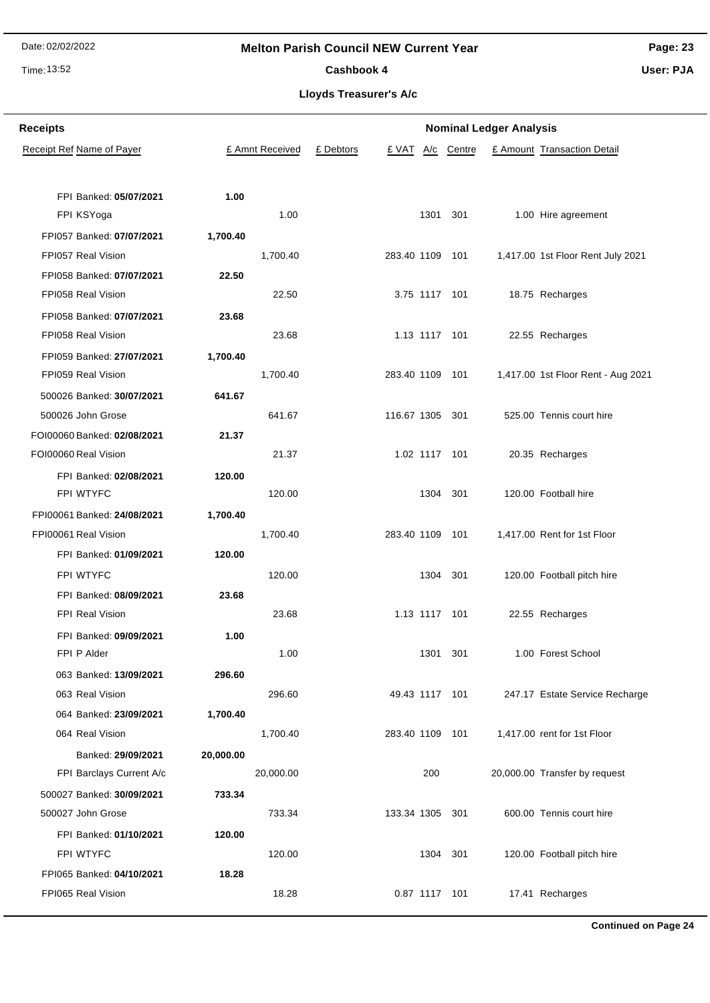## Time: 13:52

## **Melton Parish Council NEW Current Year**

**Page: 23 User: PJA**

Cashbook 4

**Lloyds Treasurer's A/c**

| <b>Receipts</b>                           | <b>Nominal Ledger Analysis</b> |                 |           |                 |               |            |  |                                    |
|-------------------------------------------|--------------------------------|-----------------|-----------|-----------------|---------------|------------|--|------------------------------------|
| Receipt Ref Name of Payer                 |                                | £ Amnt Received | £ Debtors | £ VAT           |               | A/c Centre |  | £ Amount Transaction Detail        |
|                                           |                                |                 |           |                 |               |            |  |                                    |
| FPI Banked: 05/07/2021                    | 1.00                           |                 |           |                 |               |            |  |                                    |
| FPI KSYoga                                |                                | 1.00            |           |                 | 1301          | 301        |  | 1.00 Hire agreement                |
| FPI057 Banked: 07/07/2021                 | 1,700.40                       |                 |           |                 |               |            |  |                                    |
| FPI057 Real Vision                        |                                | 1,700.40        |           | 283.40 1109 101 |               |            |  | 1,417.00 1st Floor Rent July 2021  |
| FPI058 Banked: 07/07/2021                 | 22.50                          |                 |           |                 |               |            |  |                                    |
| FPI058 Real Vision                        |                                | 22.50           |           | 3.75 1117 101   |               |            |  | 18.75 Recharges                    |
| FPI058 Banked: 07/07/2021                 | 23.68                          |                 |           |                 |               |            |  |                                    |
| FPI058 Real Vision                        |                                | 23.68           |           | 1.13 1117 101   |               |            |  | 22.55 Recharges                    |
| FPI059 Banked: 27/07/2021                 | 1,700.40                       |                 |           |                 |               |            |  |                                    |
| FPI059 Real Vision                        |                                | 1,700.40        |           | 283.40 1109 101 |               |            |  | 1,417.00 1st Floor Rent - Aug 2021 |
| 500026 Banked: 30/07/2021                 | 641.67                         |                 |           |                 |               |            |  |                                    |
| 500026 John Grose                         |                                | 641.67          |           | 116.67 1305 301 |               |            |  | 525.00 Tennis court hire           |
| FOI00060 Banked: 02/08/2021               | 21.37                          |                 |           |                 |               |            |  |                                    |
| FOI00060 Real Vision                      |                                | 21.37           |           |                 | 1.02 1117 101 |            |  | 20.35 Recharges                    |
| FPI Banked: 02/08/2021                    | 120.00                         |                 |           |                 |               |            |  |                                    |
| FPI WTYFC                                 |                                | 120.00          |           |                 | 1304 301      |            |  | 120.00 Football hire               |
| FPI00061 Banked: 24/08/2021               | 1,700.40                       |                 |           |                 |               |            |  |                                    |
| FPI00061 Real Vision                      |                                | 1,700.40        |           | 283.40 1109 101 |               |            |  | 1,417.00 Rent for 1st Floor        |
| FPI Banked: 01/09/2021                    | 120.00                         |                 |           |                 |               |            |  |                                    |
| FPI WTYFC                                 |                                | 120.00          |           |                 | 1304 301      |            |  | 120.00 Football pitch hire         |
| FPI Banked: 08/09/2021                    | 23.68                          |                 |           |                 |               |            |  |                                    |
| <b>FPI Real Vision</b>                    |                                | 23.68           |           | 1.13 1117 101   |               |            |  | 22.55 Recharges                    |
| FPI Banked: 09/09/2021                    | 1.00                           |                 |           |                 |               |            |  |                                    |
| FPI P Alder                               |                                | 1.00            |           |                 | 1301 301      |            |  | 1.00 Forest School                 |
| 063 Banked: 13/09/2021                    | 296.60                         | 296.60          |           |                 |               |            |  |                                    |
| 063 Real Vision                           |                                |                 |           | 49.43 1117 101  |               |            |  | 247.17 Estate Service Recharge     |
| 064 Banked: 23/09/2021<br>064 Real Vision | 1,700.40                       | 1,700.40        |           | 283.40 1109 101 |               |            |  | 1,417.00 rent for 1st Floor        |
| Banked: 29/09/2021                        | 20,000.00                      |                 |           |                 |               |            |  |                                    |
| FPI Barclays Current A/c                  |                                | 20,000.00       |           |                 | 200           |            |  | 20,000.00 Transfer by request      |
| 500027 Banked: 30/09/2021                 | 733.34                         |                 |           |                 |               |            |  |                                    |
| 500027 John Grose                         |                                | 733.34          |           | 133.34 1305 301 |               |            |  | 600.00 Tennis court hire           |
| FPI Banked: 01/10/2021                    | 120.00                         |                 |           |                 |               |            |  |                                    |
| FPI WTYFC                                 |                                | 120.00          |           |                 | 1304 301      |            |  | 120.00 Football pitch hire         |
| FPI065 Banked: 04/10/2021                 | 18.28                          |                 |           |                 |               |            |  |                                    |
| FPI065 Real Vision                        |                                | 18.28           |           | 0.87 1117 101   |               |            |  | 17.41 Recharges                    |
|                                           |                                |                 |           |                 |               |            |  |                                    |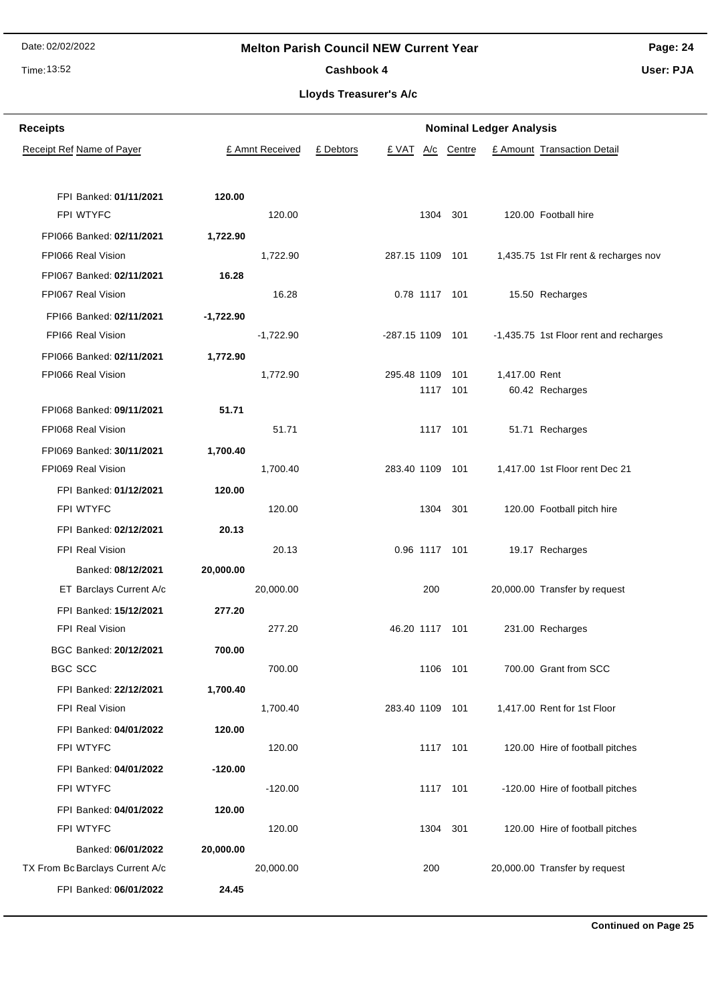## Time: 13:52

## **Melton Parish Council NEW Current Year**

**Page: 24**

Cashbook 4

**Lloyds Treasurer's A/c**

| <b>Receipts</b>                  | <b>Nominal Ledger Analysis</b> |             |                 |           |                  |     |                 |               |                                        |  |
|----------------------------------|--------------------------------|-------------|-----------------|-----------|------------------|-----|-----------------|---------------|----------------------------------------|--|
| <b>Receipt Ref Name of Payer</b> |                                |             | £ Amnt Received | £ Debtors | £ VAT            | A/c | Centre          |               | £ Amount Transaction Detail            |  |
|                                  |                                |             |                 |           |                  |     |                 |               |                                        |  |
|                                  | FPI Banked: 01/11/2021         | 120.00      |                 |           |                  |     |                 |               |                                        |  |
| FPI WTYFC                        |                                |             | 120.00          |           |                  |     | 1304 301        |               | 120.00 Football hire                   |  |
|                                  | FPI066 Banked: 02/11/2021      | 1,722.90    |                 |           |                  |     |                 |               |                                        |  |
| FPI066 Real Vision               |                                |             | 1,722.90        |           | 287.15 1109 101  |     |                 |               | 1,435.75 1st Fir rent & recharges nov  |  |
|                                  | FPI067 Banked: 02/11/2021      | 16.28       |                 |           |                  |     |                 |               |                                        |  |
| FPI067 Real Vision               |                                |             | 16.28           |           |                  |     | 0.78 1117 101   |               | 15.50 Recharges                        |  |
|                                  | FPI66 Banked: 02/11/2021       | $-1,722.90$ |                 |           |                  |     |                 |               |                                        |  |
| FPI66 Real Vision                |                                |             | $-1,722.90$     |           | -287.15 1109 101 |     |                 |               | -1,435.75 1st Floor rent and recharges |  |
|                                  | FPI066 Banked: 02/11/2021      | 1,772.90    |                 |           |                  |     |                 |               |                                        |  |
| FPI066 Real Vision               |                                |             | 1,772.90        |           | 295.48 1109      |     | 101<br>1117 101 | 1,417.00 Rent |                                        |  |
|                                  | FPI068 Banked: 09/11/2021      | 51.71       |                 |           |                  |     |                 |               | 60.42 Recharges                        |  |
| FPI068 Real Vision               |                                |             | 51.71           |           |                  |     | 1117 101        |               | 51.71 Recharges                        |  |
|                                  | FPI069 Banked: 30/11/2021      | 1,700.40    |                 |           |                  |     |                 |               |                                        |  |
| FPI069 Real Vision               |                                |             | 1,700.40        |           | 283.40 1109 101  |     |                 |               | 1,417.00 1st Floor rent Dec 21         |  |
|                                  | FPI Banked: 01/12/2021         | 120.00      |                 |           |                  |     |                 |               |                                        |  |
| FPI WTYFC                        |                                |             | 120.00          |           |                  |     | 1304 301        |               | 120.00 Football pitch hire             |  |
|                                  | FPI Banked: 02/12/2021         | 20.13       |                 |           |                  |     |                 |               |                                        |  |
| FPI Real Vision                  |                                |             | 20.13           |           |                  |     | 0.96 1117 101   |               | 19.17 Recharges                        |  |
|                                  | Banked: 08/12/2021             | 20,000.00   |                 |           |                  |     |                 |               |                                        |  |
|                                  | ET Barclays Current A/c        |             | 20,000.00       |           |                  | 200 |                 |               | 20,000.00 Transfer by request          |  |
|                                  | FPI Banked: 15/12/2021         | 277.20      |                 |           |                  |     |                 |               |                                        |  |
| <b>FPI Real Vision</b>           |                                |             | 277.20          |           | 46.20 1117 101   |     |                 |               | 231.00 Recharges                       |  |
|                                  | BGC Banked: 20/12/2021         | 700.00      |                 |           |                  |     |                 |               |                                        |  |
| <b>BGC SCC</b>                   |                                |             | 700.00          |           |                  |     | 1106 101        |               | 700.00 Grant from SCC                  |  |
|                                  | FPI Banked: 22/12/2021         | 1,700.40    |                 |           |                  |     |                 |               |                                        |  |
| FPI Real Vision                  |                                |             | 1,700.40        |           | 283.40 1109 101  |     |                 |               | 1,417.00 Rent for 1st Floor            |  |
|                                  | FPI Banked: 04/01/2022         | 120.00      |                 |           |                  |     |                 |               |                                        |  |
| FPI WTYFC                        |                                |             | 120.00          |           |                  |     | 1117 101        |               | 120.00 Hire of football pitches        |  |
|                                  | FPI Banked: 04/01/2022         | $-120.00$   |                 |           |                  |     |                 |               |                                        |  |
| FPI WTYFC                        |                                |             | $-120.00$       |           |                  |     | 1117 101        |               | -120.00 Hire of football pitches       |  |
|                                  | FPI Banked: 04/01/2022         | 120.00      |                 |           |                  |     |                 |               |                                        |  |
| FPI WTYFC                        |                                |             | 120.00          |           |                  |     | 1304 301        |               | 120.00 Hire of football pitches        |  |
|                                  | Banked: 06/01/2022             | 20,000.00   |                 |           |                  |     |                 |               |                                        |  |
| TX From Bc Barclays Current A/c  |                                |             | 20,000.00       |           |                  | 200 |                 |               | 20,000.00 Transfer by request          |  |
|                                  | FPI Banked: 06/01/2022         | 24.45       |                 |           |                  |     |                 |               |                                        |  |

## **User: PJA**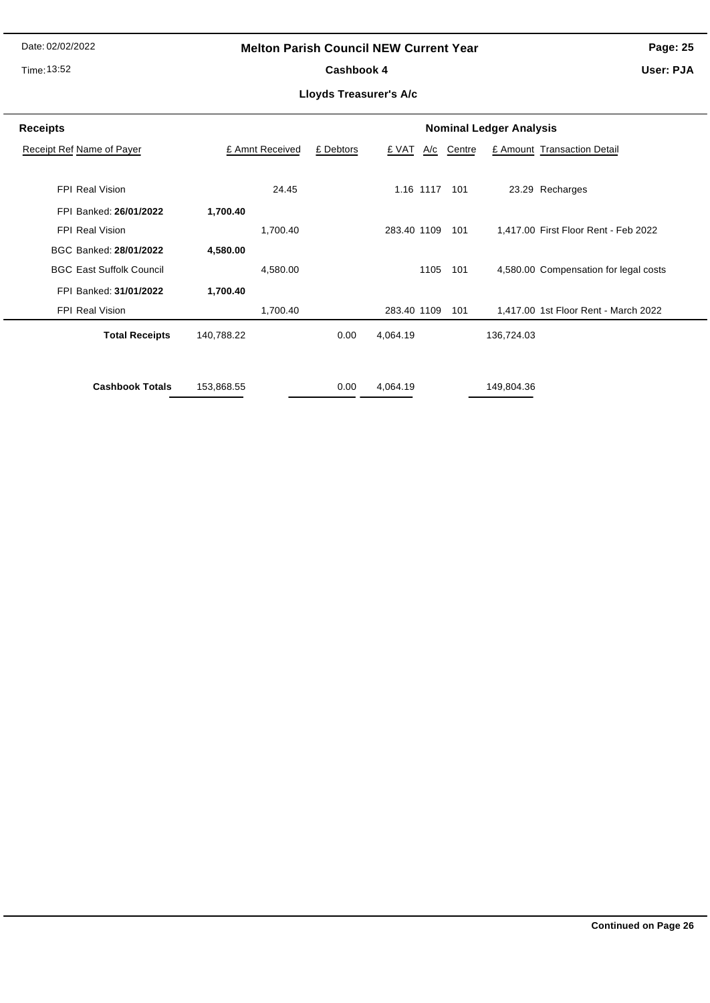## Time: 13:52

## **Melton Parish Council NEW Current Year**

Cashbook 4

**Page: 25**

**User: PJA**

| <b>Receipts</b>                 |            |                 | <b>Nominal Ledger Analysis</b> |             |           |        |            |                                       |  |  |  |
|---------------------------------|------------|-----------------|--------------------------------|-------------|-----------|--------|------------|---------------------------------------|--|--|--|
| Receipt Ref Name of Payer       |            | £ Amnt Received | £ Debtors                      | £ VAT       | A/c       | Centre |            | £ Amount Transaction Detail           |  |  |  |
|                                 |            |                 |                                |             |           |        |            |                                       |  |  |  |
| <b>FPI Real Vision</b>          |            | 24.45           |                                |             | 1.16 1117 | 101    |            | 23.29 Recharges                       |  |  |  |
| FPI Banked: 26/01/2022          | 1,700.40   |                 |                                |             |           |        |            |                                       |  |  |  |
| <b>FPI Real Vision</b>          |            | 1,700.40        |                                | 283.40 1109 |           | 101    |            | 1.417.00 First Floor Rent - Feb 2022  |  |  |  |
| BGC Banked: 28/01/2022          | 4,580.00   |                 |                                |             |           |        |            |                                       |  |  |  |
| <b>BGC East Suffolk Council</b> |            | 4,580.00        |                                |             | 1105      | 101    |            | 4,580.00 Compensation for legal costs |  |  |  |
| FPI Banked: 31/01/2022          | 1,700.40   |                 |                                |             |           |        |            |                                       |  |  |  |
| FPI Real Vision                 |            | 1,700.40        |                                | 283.40 1109 |           | 101    |            | 1,417.00 1st Floor Rent - March 2022  |  |  |  |
| <b>Total Receipts</b>           | 140,788.22 |                 | 0.00                           | 4,064.19    |           |        | 136,724.03 |                                       |  |  |  |
| <b>Cashbook Totals</b>          |            |                 | 0.00                           |             |           |        |            |                                       |  |  |  |
|                                 | 153,868.55 |                 |                                | 4,064.19    |           |        | 149,804.36 |                                       |  |  |  |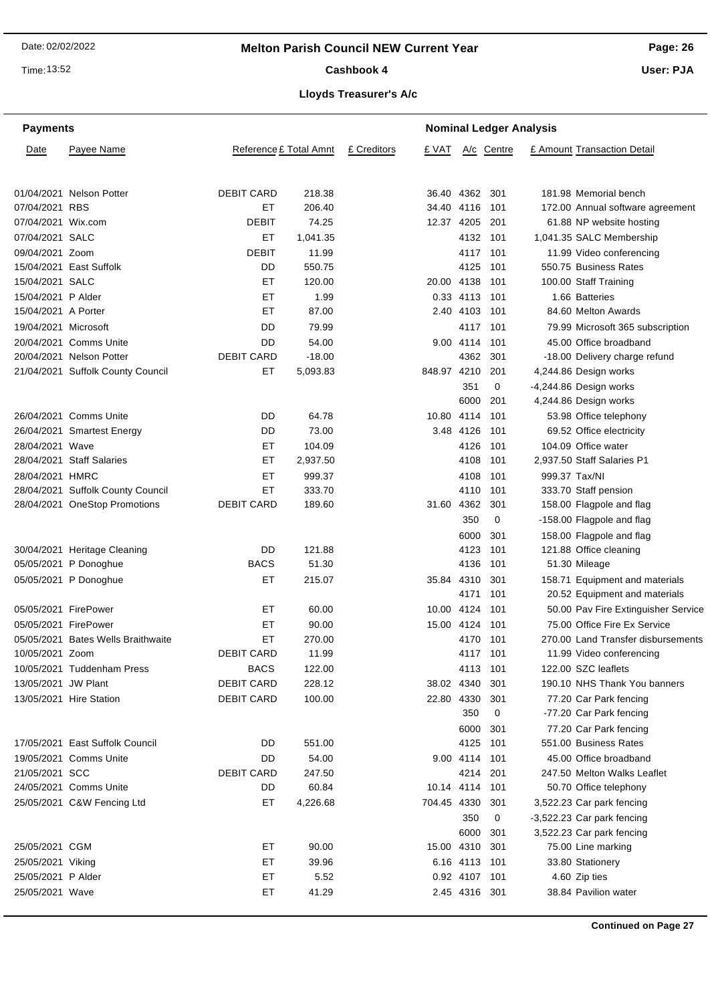**Page: 26**

Time: 13:52

## Cashbook 4

**User: PJA**

| <b>Payments</b>      |                                    | <b>Nominal Ledger Analysis</b> |          |             |                |               |            |  |                                     |  |
|----------------------|------------------------------------|--------------------------------|----------|-------------|----------------|---------------|------------|--|-------------------------------------|--|
| Date                 | Payee Name                         | Reference £ Total Amnt         |          | £ Creditors | £ VAT          |               | A/c Centre |  | £ Amount Transaction Detail         |  |
|                      | 01/04/2021 Nelson Potter           | <b>DEBIT CARD</b>              | 218.38   |             | 36.40 4362 301 |               |            |  | 181.98 Memorial bench               |  |
| 07/04/2021 RBS       |                                    | ET                             | 206.40   |             | 34.40 4116     |               | 101        |  | 172.00 Annual software agreement    |  |
| 07/04/2021 Wix.com   |                                    | DEBIT                          | 74.25    |             | 12.37 4205     |               | 201        |  | 61.88 NP website hosting            |  |
| 07/04/2021 SALC      |                                    | EТ                             | 1,041.35 |             |                | 4132          | 101        |  | 1,041.35 SALC Membership            |  |
| 09/04/2021 Zoom      |                                    | DEBIT                          | 11.99    |             |                | 4117          | 101        |  | 11.99 Video conferencing            |  |
|                      | 15/04/2021 East Suffolk            | DD                             | 550.75   |             |                | 4125          | 101        |  | 550.75 Business Rates               |  |
| 15/04/2021 SALC      |                                    | ET                             | 120.00   |             | 20.00 4138     |               | 101        |  | 100.00 Staff Training               |  |
| 15/04/2021 P Alder   |                                    | ET                             | 1.99     |             |                | 0.33 4113 101 |            |  | 1.66 Batteries                      |  |
| 15/04/2021 A Porter  |                                    | EТ                             | 87.00    |             |                | 2.40 4103     | - 101      |  | 84.60 Melton Awards                 |  |
| 19/04/2021 Microsoft |                                    | DD                             | 79.99    |             |                | 4117 101      |            |  | 79.99 Microsoft 365 subscription    |  |
|                      | 20/04/2021 Comms Unite             | DD                             | 54.00    |             |                | 9.00 4114 101 |            |  | 45.00 Office broadband              |  |
|                      | 20/04/2021 Nelson Potter           | <b>DEBIT CARD</b>              | $-18.00$ |             |                | 4362          | 301        |  | -18.00 Delivery charge refund       |  |
|                      | 21/04/2021 Suffolk County Council  | ET                             | 5,093.83 |             | 848.97 4210    |               | 201        |  | 4,244.86 Design works               |  |
|                      |                                    |                                |          |             |                | 351           | 0          |  | -4,244.86 Design works              |  |
|                      |                                    |                                |          |             |                | 6000          | 201        |  | 4,244.86 Design works               |  |
|                      | 26/04/2021 Comms Unite             | DD                             | 64.78    |             | 10.80 4114     |               | 101        |  | 53.98 Office telephony              |  |
|                      | 26/04/2021 Smartest Energy         | DD                             | 73.00    |             |                | 3.48 4126     | 101        |  | 69.52 Office electricity            |  |
| 28/04/2021 Wave      |                                    | EТ                             | 104.09   |             |                | 4126          | 101        |  | 104.09 Office water                 |  |
|                      | 28/04/2021 Staff Salaries          | EТ                             | 2,937.50 |             |                | 4108          | 101        |  | 2,937.50 Staff Salaries P1          |  |
| 28/04/2021 HMRC      |                                    | ET                             | 999.37   |             |                | 4108          | 101        |  | 999.37 Tax/NI                       |  |
|                      | 28/04/2021 Suffolk County Council  | EТ                             | 333.70   |             |                | 4110          | 101        |  | 333.70 Staff pension                |  |
|                      | 28/04/2021 OneStop Promotions      | <b>DEBIT CARD</b>              | 189.60   |             | 31.60 4362     |               | 301        |  | 158.00 Flagpole and flag            |  |
|                      |                                    |                                |          |             |                | 350           | 0          |  | -158.00 Flagpole and flag           |  |
|                      |                                    |                                |          |             |                | 6000          | 301        |  | 158.00 Flagpole and flag            |  |
|                      | 30/04/2021 Heritage Cleaning       | DD                             | 121.88   |             |                | 4123          | 101        |  | 121.88 Office cleaning              |  |
|                      | 05/05/2021 P Donoghue              | <b>BACS</b>                    | 51.30    |             |                | 4136          | 101        |  | 51.30 Mileage                       |  |
|                      | 05/05/2021 P Donoghue              | EТ                             | 215.07   |             | 35.84          | 4310          | 301        |  | 158.71 Equipment and materials      |  |
|                      |                                    |                                |          |             |                | 4171          | 101        |  | 20.52 Equipment and materials       |  |
| 05/05/2021 FirePower |                                    | EТ                             | 60.00    |             | 10.00 4124     |               | 101        |  | 50.00 Pav Fire Extinguisher Service |  |
| 05/05/2021 FirePower |                                    | ET                             | 90.00    |             | 15.00 4124 101 |               |            |  | 75.00 Office Fire Ex Service        |  |
|                      | 05/05/2021 Bates Wells Braithwaite | ET                             | 270.00   |             |                | 4170 101      |            |  | 270.00 Land Transfer disbursements  |  |
| 10/05/2021 Zoom      |                                    | <b>DEBIT CARD</b>              | 11.99    |             |                | 4117 101      |            |  | 11.99 Video conferencing            |  |
|                      | 10/05/2021 Tuddenham Press         | <b>BACS</b>                    | 122.00   |             |                | 4113 101      |            |  | 122.00 SZC leaflets                 |  |
| 13/05/2021 JW Plant  |                                    | <b>DEBIT CARD</b>              | 228.12   |             | 38.02 4340 301 |               |            |  | 190.10 NHS Thank You banners        |  |
|                      | 13/05/2021 Hire Station            | <b>DEBIT CARD</b>              | 100.00   |             | 22.80 4330     |               | 301        |  | 77.20 Car Park fencing              |  |
|                      |                                    |                                |          |             |                | 350           | 0          |  | -77.20 Car Park fencing             |  |
|                      |                                    |                                |          |             |                | 6000          | 301        |  | 77.20 Car Park fencing              |  |
|                      | 17/05/2021 East Suffolk Council    | DD                             | 551.00   |             |                | 4125 101      |            |  | 551.00 Business Rates               |  |
|                      | 19/05/2021 Comms Unite             | DD                             | 54.00    |             |                | 9.00 4114 101 |            |  | 45.00 Office broadband              |  |
| 21/05/2021 SCC       |                                    | <b>DEBIT CARD</b>              | 247.50   |             |                | 4214 201      |            |  | 247.50 Melton Walks Leaflet         |  |
|                      | 24/05/2021 Comms Unite             | DD                             | 60.84    |             | 10.14 4114 101 |               |            |  | 50.70 Office telephony              |  |
|                      | 25/05/2021 C&W Fencing Ltd         | ET                             | 4,226.68 |             | 704.45 4330    |               | 301        |  | 3,522.23 Car park fencing           |  |
|                      |                                    |                                |          |             |                | 350           | 0          |  | -3,522.23 Car park fencing          |  |
|                      |                                    |                                |          |             |                | 6000          | 301        |  | 3,522.23 Car park fencing           |  |
| 25/05/2021 CGM       |                                    | ET                             | 90.00    |             | 15.00 4310 301 |               |            |  | 75.00 Line marking                  |  |
| 25/05/2021 Viking    |                                    | EТ                             | 39.96    |             |                | 6.16 4113 101 |            |  | 33.80 Stationery                    |  |
| 25/05/2021 P Alder   |                                    | EТ                             | 5.52     |             |                | 0.92 4107 101 |            |  | 4.60 Zip ties                       |  |
| 25/05/2021 Wave      |                                    | ET                             | 41.29    |             |                | 2.45 4316 301 |            |  | 38.84 Pavilion water                |  |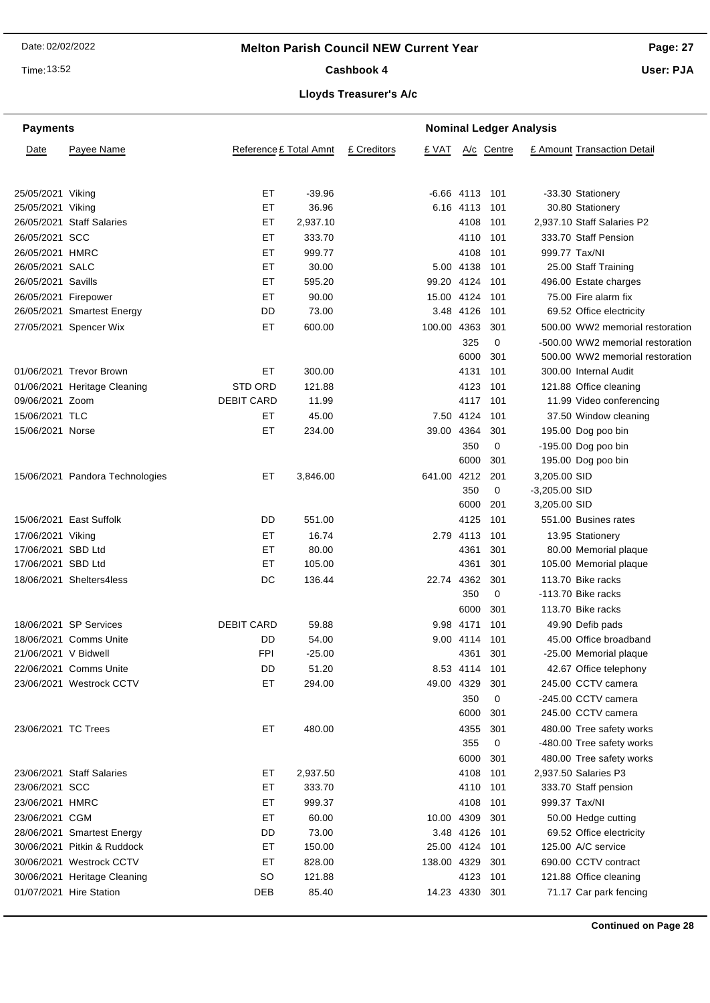Time: 13:52

#### Cashbook 4

**Page: 27**

**User: PJA**

## **Lloyds Treasurer's A/c**

| <b>Payments</b>                         |                                 |                        |                |             |                |                   | <b>Nominal Ledger Analysis</b> |                 |                                                 |  |  |
|-----------------------------------------|---------------------------------|------------------------|----------------|-------------|----------------|-------------------|--------------------------------|-----------------|-------------------------------------------------|--|--|
| Date                                    | Payee Name                      | Reference £ Total Amnt |                | £ Creditors | £ VAT          |                   | A/c Centre                     |                 | £ Amount Transaction Detail                     |  |  |
| 25/05/2021 Viking                       |                                 | EТ                     | $-39.96$       |             |                | $-6.66$ 4113 101  |                                |                 | -33.30 Stationery                               |  |  |
| 25/05/2021 Viking                       |                                 | ET                     | 36.96          |             |                | 6.16 4113         | 101                            |                 | 30.80 Stationery                                |  |  |
|                                         | 26/05/2021 Staff Salaries       | ET                     | 2,937.10       |             |                | 4108              | 101                            |                 | 2,937.10 Staff Salaries P2                      |  |  |
| 26/05/2021 SCC                          |                                 | ET                     | 333.70         |             |                | 4110 101          |                                |                 | 333.70 Staff Pension                            |  |  |
| 26/05/2021 HMRC                         |                                 | EТ                     | 999.77         |             |                | 4108              | 101                            |                 | 999.77 Tax/NI                                   |  |  |
| 26/05/2021 SALC                         |                                 | EТ                     | 30.00          |             |                | 5.00 4138         | 101                            |                 | 25.00 Staff Training                            |  |  |
| 26/05/2021 Savills                      |                                 | ЕT                     | 595.20         |             | 99.20 4124 101 |                   |                                |                 | 496.00 Estate charges                           |  |  |
| 26/05/2021 Firepower                    |                                 | ET                     | 90.00          |             | 15.00 4124     |                   | 101                            |                 | 75.00 Fire alarm fix                            |  |  |
|                                         | 26/05/2021 Smartest Energy      | DD                     | 73.00          |             |                | 3.48 4126         | 101                            |                 | 69.52 Office electricity                        |  |  |
|                                         | 27/05/2021 Spencer Wix          | <b>ET</b>              | 600.00         |             | 100.00 4363    |                   | 301                            |                 | 500.00 WW2 memorial restoration                 |  |  |
|                                         |                                 |                        |                |             |                | 325               | $\mathbf 0$                    |                 | -500.00 WW2 memorial restoration                |  |  |
|                                         |                                 |                        |                |             |                | 6000              | 301                            |                 | 500.00 WW2 memorial restoration                 |  |  |
|                                         | 01/06/2021 Trevor Brown         | EТ                     | 300.00         |             |                | 4131              | 101                            |                 | 300.00 Internal Audit                           |  |  |
|                                         | 01/06/2021 Heritage Cleaning    | <b>STD ORD</b>         | 121.88         |             |                | 4123              | 101                            |                 | 121.88 Office cleaning                          |  |  |
| 09/06/2021 Zoom                         |                                 | <b>DEBIT CARD</b>      | 11.99          |             |                | 4117              | 101                            |                 | 11.99 Video conferencing                        |  |  |
| 15/06/2021 TLC                          |                                 | EТ                     | 45.00          |             |                | 7.50 4124         | 101                            |                 | 37.50 Window cleaning                           |  |  |
| 15/06/2021 Norse                        |                                 | EТ                     | 234.00         |             | 39.00 4364     |                   | 301                            |                 | 195.00 Dog poo bin                              |  |  |
|                                         |                                 |                        |                |             |                | 350               | $\mathbf 0$                    |                 | -195.00 Dog poo bin                             |  |  |
|                                         |                                 |                        |                |             |                | 6000              | 301                            |                 | 195.00 Dog poo bin                              |  |  |
|                                         | 15/06/2021 Pandora Technologies | EТ                     | 3,846.00       |             | 641.00 4212    |                   | 201                            | 3,205.00 SID    |                                                 |  |  |
|                                         |                                 |                        |                |             |                | 350               | $\mathbf 0$                    | $-3,205.00$ SID |                                                 |  |  |
|                                         |                                 |                        |                |             |                | 6000              | 201                            | 3,205.00 SID    |                                                 |  |  |
|                                         | 15/06/2021 East Suffolk         | DD                     | 551.00         |             |                | 4125              | 101                            |                 | 551.00 Busines rates                            |  |  |
|                                         |                                 |                        |                |             |                |                   |                                |                 |                                                 |  |  |
| 17/06/2021 Viking<br>17/06/2021 SBD Ltd |                                 | ET<br>EТ               | 16.74<br>80.00 |             |                | 2.79 4113<br>4361 | 101<br>301                     |                 | 13.95 Stationery                                |  |  |
| 17/06/2021 SBD Ltd                      |                                 | EТ                     | 105.00         |             |                | 4361              | 301                            |                 | 80.00 Memorial plaque<br>105.00 Memorial plaque |  |  |
|                                         | 18/06/2021 Shelters4less        | DC                     | 136.44         |             | 22.74 4362     |                   | 301                            |                 | 113.70 Bike racks                               |  |  |
|                                         |                                 |                        |                |             |                | 350               | 0                              |                 | -113.70 Bike racks                              |  |  |
|                                         |                                 |                        |                |             |                |                   |                                |                 |                                                 |  |  |
|                                         |                                 |                        |                |             |                | 6000              | 301                            |                 | 113.70 Bike racks                               |  |  |
|                                         | 18/06/2021 SP Services          | <b>DEBIT CARD</b>      | 59.88          |             |                | 9.98 4171         | 101                            |                 | 49.90 Defib pads                                |  |  |
|                                         | 18/06/2021 Comms Unite          | DD                     | 54.00          |             |                | 9.00 4114         | 101                            |                 | 45.00 Office broadband                          |  |  |
| 21/06/2021 V Bidwell                    |                                 | <b>FPI</b>             | $-25.00$       |             |                | 4361 301          |                                |                 | -25.00 Memorial plaque                          |  |  |
|                                         | 22/06/2021 Comms Unite          | DD                     | 51.20          |             |                | 8.53 4114 101     |                                |                 | 42.67 Office telephony                          |  |  |
|                                         | 23/06/2021 Westrock CCTV        | ET                     | 294.00         |             | 49.00 4329     |                   | 301                            |                 | 245.00 CCTV camera                              |  |  |
|                                         |                                 |                        |                |             |                | 350               | 0                              |                 | -245.00 CCTV camera                             |  |  |
|                                         |                                 |                        |                |             |                | 6000              | 301                            |                 | 245.00 CCTV camera                              |  |  |
| 23/06/2021 TC Trees                     |                                 | ЕT                     | 480.00         |             |                | 4355              | 301                            |                 | 480.00 Tree safety works                        |  |  |
|                                         |                                 |                        |                |             |                | 355               | 0                              |                 | -480.00 Tree safety works                       |  |  |
|                                         |                                 |                        |                |             |                | 6000              | 301                            |                 | 480.00 Tree safety works                        |  |  |
|                                         | 23/06/2021 Staff Salaries       | EТ                     | 2,937.50       |             |                | 4108              | 101                            |                 | 2,937.50 Salaries P3                            |  |  |
| 23/06/2021 SCC                          |                                 | EТ                     | 333.70         |             |                | 4110 101          |                                |                 | 333.70 Staff pension                            |  |  |
| 23/06/2021 HMRC                         |                                 | EТ                     | 999.37         |             |                | 4108              | - 101                          |                 | 999.37 Tax/NI                                   |  |  |
| 23/06/2021 CGM                          |                                 | EТ                     | 60.00          |             | 10.00 4309     |                   | 301                            |                 | 50.00 Hedge cutting                             |  |  |
|                                         | 28/06/2021 Smartest Energy      | DD                     | 73.00          |             |                | 3.48 4126         | - 101                          |                 | 69.52 Office electricity                        |  |  |
|                                         | 30/06/2021 Pitkin & Ruddock     | EТ                     | 150.00         |             | 25.00 4124 101 |                   |                                |                 | 125.00 A/C service                              |  |  |
|                                         | 30/06/2021 Westrock CCTV        | ET                     | 828.00         |             | 138.00 4329    |                   | 301                            |                 | 690.00 CCTV contract                            |  |  |
|                                         | 30/06/2021 Heritage Cleaning    | <b>SO</b>              | 121.88         |             |                | 4123              | 101                            |                 | 121.88 Office cleaning                          |  |  |
|                                         | 01/07/2021 Hire Station         | DEB                    | 85.40          |             | 14.23 4330 301 |                   |                                |                 | 71.17 Car park fencing                          |  |  |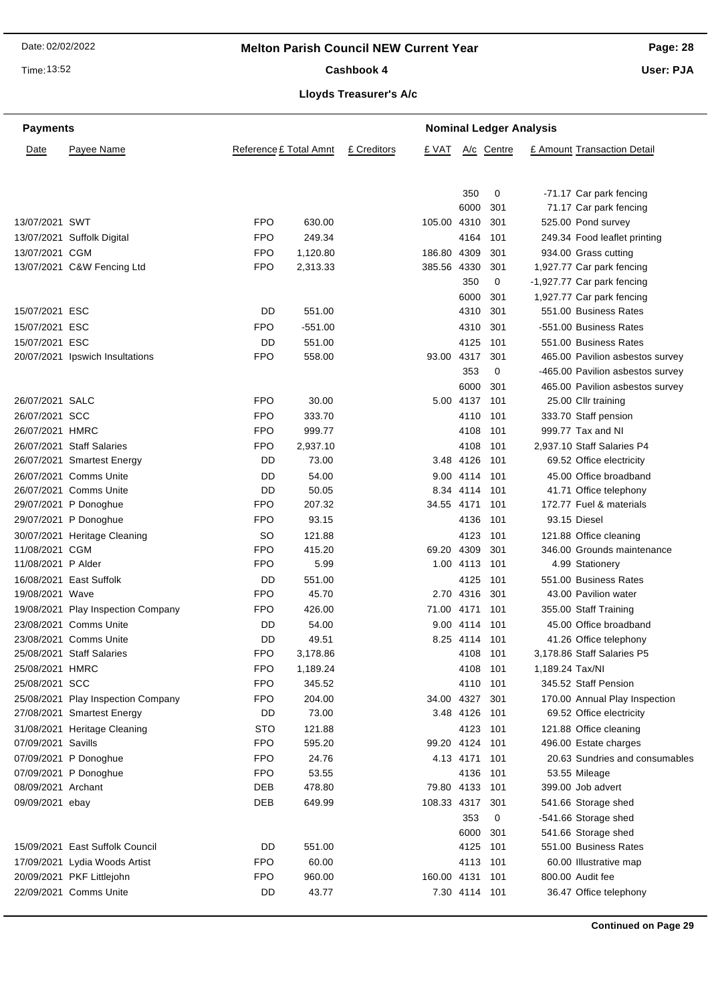Time: 13:52

Cashbook 4

**Page: 28**

**User: PJA**

## **Lloyds Treasurer's A/c**

| <b>Payments</b>    |                                    |                        |           |             |                 |               | <b>Nominal Ledger Analysis</b> |                 |                                  |
|--------------------|------------------------------------|------------------------|-----------|-------------|-----------------|---------------|--------------------------------|-----------------|----------------------------------|
| Date               | Payee Name                         | Reference £ Total Amnt |           | £ Creditors | £ VAT           |               | A/c Centre                     |                 | £ Amount Transaction Detail      |
|                    |                                    |                        |           |             |                 | 350           | 0                              |                 | -71.17 Car park fencing          |
|                    |                                    |                        |           |             |                 | 6000          | 301                            |                 | 71.17 Car park fencing           |
| 13/07/2021 SWT     |                                    | <b>FPO</b>             | 630.00    |             | 105.00 4310     |               | 301                            |                 | 525.00 Pond survey               |
|                    | 13/07/2021 Suffolk Digital         | <b>FPO</b>             | 249.34    |             |                 | 4164          | 101                            |                 | 249.34 Food leaflet printing     |
| 13/07/2021 CGM     |                                    | FPO                    | 1,120.80  |             | 186.80 4309     |               | 301                            |                 | 934.00 Grass cutting             |
|                    | 13/07/2021 C&W Fencing Ltd         | FPO                    | 2,313.33  |             | 385.56 4330     |               | 301                            |                 | 1,927.77 Car park fencing        |
|                    |                                    |                        |           |             |                 | 350           | 0                              |                 | -1,927.77 Car park fencing       |
|                    |                                    |                        |           |             |                 | 6000          | 301                            |                 | 1,927.77 Car park fencing        |
| 15/07/2021 ESC     |                                    | DD                     | 551.00    |             |                 | 4310          | 301                            |                 | 551.00 Business Rates            |
| 15/07/2021 ESC     |                                    | <b>FPO</b>             | $-551.00$ |             |                 | 4310          | 301                            |                 | -551.00 Business Rates           |
| 15/07/2021 ESC     |                                    | DD                     | 551.00    |             |                 | 4125          | 101                            |                 | 551.00 Business Rates            |
|                    | 20/07/2021 Ipswich Insultations    | FPO                    | 558.00    |             | 93.00 4317      |               | 301                            |                 | 465.00 Pavilion asbestos survey  |
|                    |                                    |                        |           |             |                 | 353           | 0                              |                 | -465.00 Pavilion asbestos survey |
|                    |                                    |                        |           |             |                 | 6000          | 301                            |                 | 465.00 Pavilion asbestos survey  |
| 26/07/2021 SALC    |                                    | FPO                    | 30.00     |             |                 | 5.00 4137     | 101                            |                 | 25.00 Cllr training              |
| 26/07/2021 SCC     |                                    | <b>FPO</b>             | 333.70    |             |                 | 4110          | 101                            |                 | 333.70 Staff pension             |
| 26/07/2021 HMRC    |                                    | <b>FPO</b>             | 999.77    |             |                 | 4108          | 101                            |                 | 999.77 Tax and NI                |
|                    | 26/07/2021 Staff Salaries          | FPO                    | 2,937.10  |             |                 | 4108          | 101                            |                 | 2,937.10 Staff Salaries P4       |
|                    | 26/07/2021 Smartest Energy         | DD                     | 73.00     |             |                 | 3.48 4126     | 101                            |                 | 69.52 Office electricity         |
|                    | 26/07/2021 Comms Unite             | DD                     | 54.00     |             |                 | 9.00 4114     | 101                            |                 | 45.00 Office broadband           |
|                    | 26/07/2021 Comms Unite             | DD                     | 50.05     |             |                 | 8.34 4114     | 101                            |                 | 41.71 Office telephony           |
|                    | 29/07/2021 P Donoghue              | FPO                    | 207.32    |             | 34.55 4171      |               | 101                            |                 | 172.77 Fuel & materials          |
|                    | 29/07/2021 P Donoghue              | <b>FPO</b>             | 93.15     |             |                 | 4136          | 101                            |                 | 93.15 Diesel                     |
|                    | 30/07/2021 Heritage Cleaning       | <b>SO</b>              | 121.88    |             |                 | 4123          | 101                            |                 | 121.88 Office cleaning           |
| 11/08/2021 CGM     |                                    | FPO                    | 415.20    |             | 69.20 4309      |               | 301                            |                 | 346.00 Grounds maintenance       |
| 11/08/2021 P Alder |                                    | FPO                    | 5.99      |             |                 | 1.00 4113     | 101                            |                 | 4.99 Stationery                  |
|                    | 16/08/2021 East Suffolk            | DD                     | 551.00    |             |                 | 4125          | 101                            |                 | 551.00 Business Rates            |
| 19/08/2021 Wave    |                                    | FPO                    | 45.70     |             |                 | 2.70 4316     | 301                            |                 | 43.00 Pavilion water             |
|                    | 19/08/2021 Play Inspection Company | FPO                    | 426.00    |             | 71.00 4171      |               | 101                            |                 | 355.00 Staff Training            |
|                    | 23/08/2021 Comms Unite             | DD                     | 54.00     |             |                 | 9.00 4114     | -101                           |                 | 45.00 Office broadband           |
|                    | 23/08/2021 Comms Unite             | DD                     | 49.51     |             |                 | 8.25 4114     | 101                            |                 | 41.26 Office telephony           |
|                    | 25/08/2021 Staff Salaries          | <b>FPO</b>             | 3,178.86  |             |                 | 4108 101      |                                |                 | 3,178.86 Staff Salaries P5       |
| 25/08/2021 HMRC    |                                    | FPO                    | 1,189.24  |             |                 | 4108 101      |                                | 1,189.24 Tax/NI |                                  |
| 25/08/2021 SCC     |                                    | FPO                    | 345.52    |             |                 | 4110 101      |                                |                 | 345.52 Staff Pension             |
|                    | 25/08/2021 Play Inspection Company | FPO                    | 204.00    |             | 34.00 4327      |               | 301                            |                 | 170.00 Annual Play Inspection    |
|                    | 27/08/2021 Smartest Energy         | DD                     | 73.00     |             |                 | 3.48 4126     | 101                            |                 | 69.52 Office electricity         |
|                    | 31/08/2021 Heritage Cleaning       | <b>STO</b>             | 121.88    |             |                 | 4123          | 101                            |                 | 121.88 Office cleaning           |
| 07/09/2021 Savills |                                    | <b>FPO</b>             | 595.20    |             | 99.20 4124      |               | 101                            |                 | 496.00 Estate charges            |
|                    | 07/09/2021 P Donoghue              | <b>FPO</b>             | 24.76     |             |                 | 4.13 4171     | 101                            |                 | 20.63 Sundries and consumables   |
|                    | 07/09/2021 P Donoghue              | <b>FPO</b>             | 53.55     |             |                 | 4136          | 101                            |                 | 53.55 Mileage                    |
| 08/09/2021 Archant |                                    | DEB                    | 478.80    |             | 79.80 4133 101  |               |                                |                 | 399.00 Job advert                |
| 09/09/2021 ebay    |                                    | DEB                    | 649.99    |             | 108.33 4317 301 |               |                                |                 | 541.66 Storage shed              |
|                    |                                    |                        |           |             |                 | 353           | 0                              |                 | -541.66 Storage shed             |
|                    |                                    |                        |           |             |                 | 6000          | 301                            |                 | 541.66 Storage shed              |
|                    | 15/09/2021 East Suffolk Council    | DD                     | 551.00    |             |                 | 4125 101      |                                |                 | 551.00 Business Rates            |
|                    | 17/09/2021 Lydia Woods Artist      | <b>FPO</b>             | 60.00     |             |                 | 4113 101      |                                |                 | 60.00 Illustrative map           |
|                    | 20/09/2021 PKF Littlejohn          | <b>FPO</b>             | 960.00    |             | 160.00 4131 101 |               |                                |                 | 800.00 Audit fee                 |
|                    | 22/09/2021 Comms Unite             | DD                     | 43.77     |             |                 | 7.30 4114 101 |                                |                 | 36.47 Office telephony           |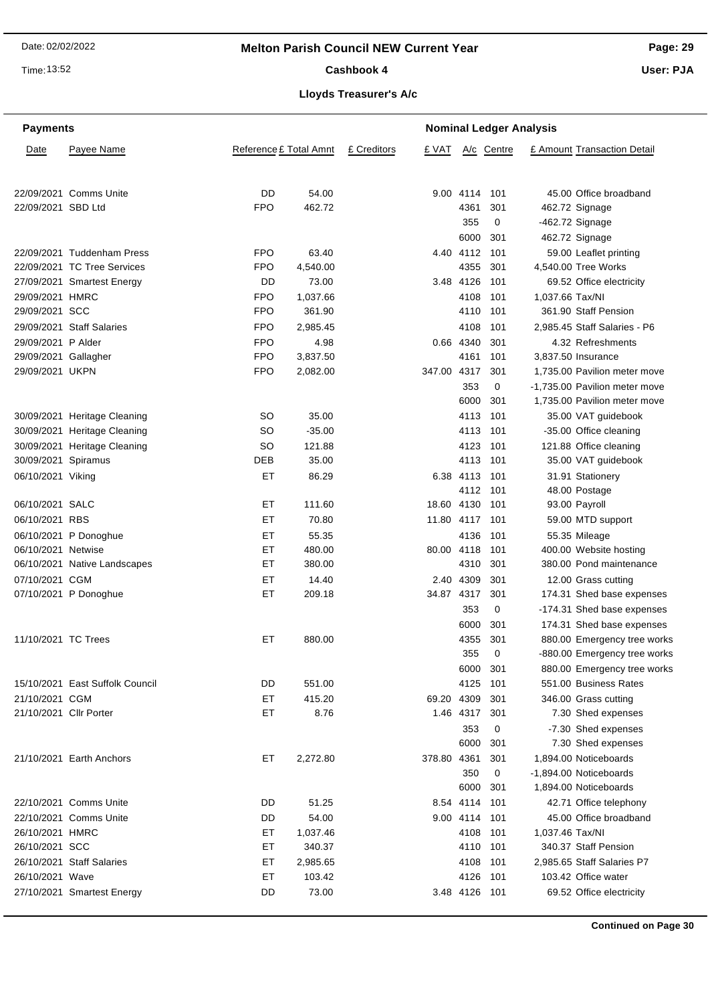Time: 13:52

## Cashbook 4

**Page: 29**

**User: PJA**

## **Lloyds Treasurer's A/c**

| <b>Payments</b>        | <b>Nominal Ledger Analysis</b>  |                        |                |             |             |                  |            |                               |                              |
|------------------------|---------------------------------|------------------------|----------------|-------------|-------------|------------------|------------|-------------------------------|------------------------------|
| Date                   | Payee Name                      | Reference £ Total Amnt |                | £ Creditors | £ VAT       |                  | A/c Centre | £ Amount Transaction Detail   |                              |
|                        | 22/09/2021 Comms Unite          | DD                     | 54.00          |             |             | 9.00 4114        | 101        | 45.00 Office broadband        |                              |
| 22/09/2021 SBD Ltd     |                                 | <b>FPO</b>             | 462.72         |             |             | 4361             | 301        | 462.72 Signage                |                              |
|                        |                                 |                        |                |             |             | 355              | 0          | -462.72 Signage               |                              |
|                        |                                 |                        |                |             |             | 6000             | 301        | 462.72 Signage                |                              |
|                        | 22/09/2021 Tuddenham Press      | <b>FPO</b>             | 63.40          |             |             | 4.40 4112        | 101        | 59.00 Leaflet printing        |                              |
|                        | 22/09/2021 TC Tree Services     | <b>FPO</b>             | 4,540.00       |             |             | 4355             | 301        | 4,540.00 Tree Works           |                              |
|                        | 27/09/2021 Smartest Energy      | DD                     | 73.00          |             |             | 3.48 4126        | 101        | 69.52 Office electricity      |                              |
| 29/09/2021 HMRC        |                                 | <b>FPO</b>             | 1,037.66       |             |             | 4108             | 101        | 1,037.66 Tax/NI               |                              |
| 29/09/2021 SCC         |                                 | <b>FPO</b>             | 361.90         |             |             | 4110             | 101        | 361.90 Staff Pension          |                              |
|                        | 29/09/2021 Staff Salaries       | <b>FPO</b>             | 2,985.45       |             |             | 4108             | 101        | 2,985.45 Staff Salaries - P6  |                              |
| 29/09/2021 P Alder     |                                 | <b>FPO</b>             | 4.98           |             |             | 0.66 4340        | 301        | 4.32 Refreshments             |                              |
| 29/09/2021 Gallagher   |                                 | <b>FPO</b>             | 3,837.50       |             |             | 4161             | 101        | 3,837.50 Insurance            |                              |
| 29/09/2021 UKPN        |                                 | <b>FPO</b>             | 2,082.00       |             | 347.00 4317 |                  | 301        | 1,735.00 Pavilion meter move  |                              |
|                        |                                 |                        |                |             |             | 353              | 0          | -1,735.00 Pavilion meter move |                              |
|                        |                                 |                        |                |             |             | 6000             | 301        | 1,735.00 Pavilion meter move  |                              |
|                        | 30/09/2021 Heritage Cleaning    | SO                     | 35.00          |             |             | 4113             | 101        | 35.00 VAT guidebook           |                              |
|                        | 30/09/2021 Heritage Cleaning    | SO                     | $-35.00$       |             |             | 4113             | 101        | -35.00 Office cleaning        |                              |
|                        | 30/09/2021 Heritage Cleaning    | SO                     | 121.88         |             |             | 4123             | 101        | 121.88 Office cleaning        |                              |
| 30/09/2021 Spiramus    |                                 | DEB                    | 35.00          |             |             | 4113 101         |            | 35.00 VAT guidebook           |                              |
| 06/10/2021 Viking      |                                 | ET                     | 86.29          |             |             | 6.38 4113        | 101        | 31.91 Stationery              |                              |
|                        |                                 |                        |                |             |             | 4112             | 101        | 48.00 Postage                 |                              |
| 06/10/2021 SALC        |                                 | EТ                     | 111.60         |             | 18.60 4130  |                  | 101        | 93.00 Payroll                 |                              |
| 06/10/2021 RBS         |                                 | EТ                     | 70.80          |             | 11.80 4117  |                  | 101        | 59.00 MTD support             |                              |
|                        | 06/10/2021 P Donoghue           | EТ                     | 55.35          |             |             | 4136             | 101        | 55.35 Mileage                 |                              |
| 06/10/2021 Netwise     |                                 | EТ                     | 480.00         |             | 80.00 4118  |                  | 101        | 400.00 Website hosting        |                              |
|                        | 06/10/2021 Native Landscapes    | EТ                     | 380.00         |             |             | 4310             | 301        | 380.00 Pond maintenance       |                              |
| 07/10/2021 CGM         |                                 | ЕT                     | 14.40          |             |             | 2.40 4309        | 301        | 12.00 Grass cutting           |                              |
|                        | 07/10/2021 P Donoghue           | EТ                     | 209.18         |             | 34.87 4317  |                  | 301        |                               | 174.31 Shed base expenses    |
|                        |                                 |                        |                |             |             | 353              | 0          |                               | -174.31 Shed base expenses   |
|                        |                                 |                        |                |             |             | 6000             | 301        |                               | 174.31 Shed base expenses    |
| 11/10/2021 TC Trees    |                                 | EТ                     | 880.00         |             |             | 4355             | 301        |                               | 880.00 Emergency tree works  |
|                        |                                 |                        |                |             |             | 355              | 0          |                               | -880.00 Emergency tree works |
|                        |                                 |                        |                |             |             |                  |            |                               |                              |
|                        | 15/10/2021 East Suffolk Council | DD                     | 551.00         |             |             | 6000 301<br>4125 | - 101      | 551.00 Business Rates         | 880.00 Emergency tree works  |
| 21/10/2021 CGM         |                                 |                        |                |             | 69.20 4309  |                  |            |                               |                              |
| 21/10/2021 Cllr Porter |                                 | ET<br>EТ               | 415.20<br>8.76 |             |             | 1.46 4317        | 301        | 346.00 Grass cutting          |                              |
|                        |                                 |                        |                |             |             |                  | 301        | 7.30 Shed expenses            |                              |
|                        |                                 |                        |                |             |             | 353              | 0          | -7.30 Shed expenses           |                              |
|                        |                                 |                        |                |             |             | 6000             | 301        | 7.30 Shed expenses            |                              |
|                        | 21/10/2021 Earth Anchors        | EТ                     | 2,272.80       |             | 378.80 4361 |                  | 301        | 1,894.00 Noticeboards         |                              |
|                        |                                 |                        |                |             |             | 350              | 0          | -1,894.00 Noticeboards        |                              |
|                        |                                 |                        |                |             |             | 6000             | 301        | 1,894.00 Noticeboards         |                              |
|                        | 22/10/2021 Comms Unite          | DD                     | 51.25          |             |             | 8.54 4114        | 101        | 42.71 Office telephony        |                              |
|                        | 22/10/2021 Comms Unite          | DD                     | 54.00          |             |             | 9.00 4114        | 101        | 45.00 Office broadband        |                              |
| 26/10/2021 HMRC        |                                 | ET                     | 1,037.46       |             |             | 4108             | 101        | 1,037.46 Tax/NI               |                              |
| 26/10/2021 SCC         |                                 | EТ                     | 340.37         |             |             | 4110             | 101        | 340.37 Staff Pension          |                              |
|                        | 26/10/2021 Staff Salaries       | ET                     | 2,985.65       |             |             | 4108             | 101        | 2,985.65 Staff Salaries P7    |                              |
| 26/10/2021 Wave        |                                 | ET                     | 103.42         |             |             | 4126             | 101        | 103.42 Office water           |                              |
|                        | 27/10/2021 Smartest Energy      | DD                     | 73.00          |             |             | 3.48 4126 101    |            | 69.52 Office electricity      |                              |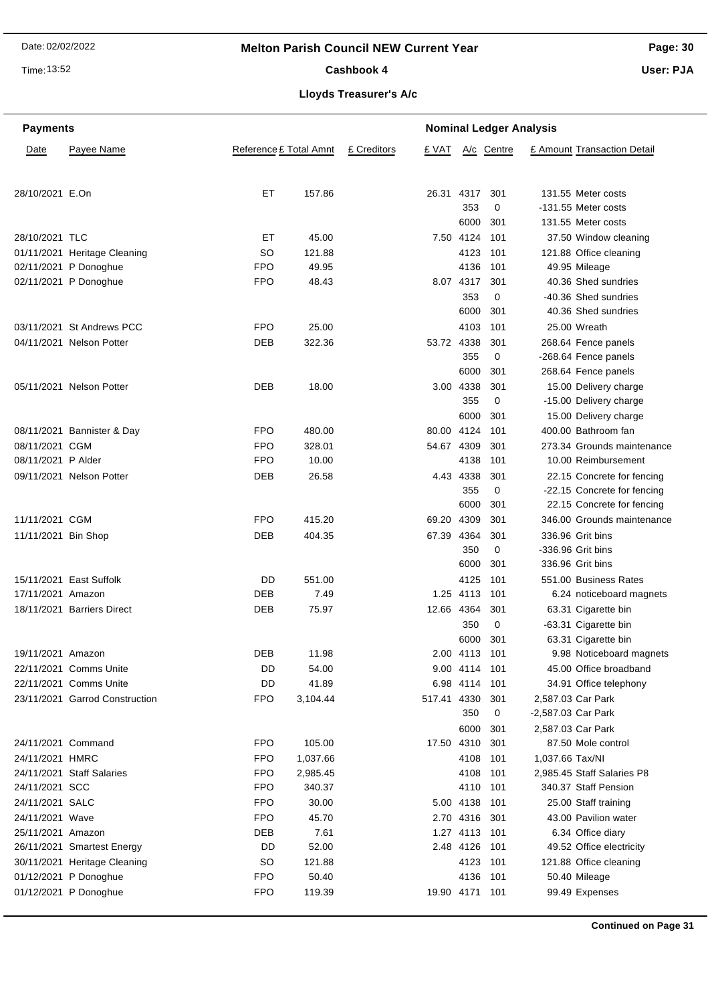Time: 13:52

### Cashbook 4

**Page: 30**

**User: PJA**

## **Lloyds Treasurer's A/c**

| <b>Payments</b>     |                                |                        |             |                | <b>Nominal Ledger Analysis</b> |            |                    |                             |
|---------------------|--------------------------------|------------------------|-------------|----------------|--------------------------------|------------|--------------------|-----------------------------|
| Date                | Payee Name                     | Reference £ Total Amnt | £ Creditors | £ VAT          |                                | A/c Centre |                    | £ Amount Transaction Detail |
| 28/10/2021 E.On     |                                | ЕT                     | 157.86      | 26.31 4317     |                                | 301        |                    | 131.55 Meter costs          |
|                     |                                |                        |             |                | 353                            | 0          |                    | -131.55 Meter costs         |
|                     |                                |                        |             |                | 6000                           | 301        |                    | 131.55 Meter costs          |
| 28/10/2021 TLC      |                                | ЕT                     | 45.00       |                | 7.50 4124                      | 101        |                    | 37.50 Window cleaning       |
|                     | 01/11/2021 Heritage Cleaning   | <b>SO</b>              | 121.88      |                | 4123                           | 101        |                    | 121.88 Office cleaning      |
|                     | 02/11/2021 P Donoghue          | <b>FPO</b>             | 49.95       |                | 4136                           | 101        |                    | 49.95 Mileage               |
|                     | 02/11/2021 P Donoghue          | <b>FPO</b>             | 48.43       |                | 8.07 4317                      | 301        |                    | 40.36 Shed sundries         |
|                     |                                |                        |             |                | 353                            | 0          |                    | -40.36 Shed sundries        |
|                     |                                |                        |             |                | 6000                           | 301        |                    | 40.36 Shed sundries         |
|                     | 03/11/2021 St Andrews PCC      | <b>FPO</b>             | 25.00       |                | 4103                           | 101        |                    | 25.00 Wreath                |
|                     | 04/11/2021 Nelson Potter       | <b>DEB</b>             | 322.36      | 53.72 4338     |                                | 301        |                    | 268.64 Fence panels         |
|                     |                                |                        |             |                | 355                            | 0          |                    | -268.64 Fence panels        |
|                     |                                |                        |             |                | 6000                           | 301        |                    | 268.64 Fence panels         |
|                     | 05/11/2021 Nelson Potter       | DEB                    | 18.00       |                | 3.00 4338                      | 301        |                    | 15.00 Delivery charge       |
|                     |                                |                        |             |                | 355                            | 0          |                    | -15.00 Delivery charge      |
|                     |                                |                        |             |                | 6000                           | 301        |                    | 15.00 Delivery charge       |
|                     | 08/11/2021 Bannister & Day     | <b>FPO</b>             | 480.00      | 80.00 4124     |                                | 101        |                    | 400.00 Bathroom fan         |
| 08/11/2021 CGM      |                                | <b>FPO</b>             | 328.01      | 54.67 4309     |                                | 301        |                    | 273.34 Grounds maintenance  |
| 08/11/2021 P Alder  |                                | <b>FPO</b>             | 10.00       |                | 4138                           | 101        |                    | 10.00 Reimbursement         |
|                     | 09/11/2021 Nelson Potter       | DEB                    | 26.58       |                | 4.43 4338                      | 301        |                    | 22.15 Concrete for fencing  |
|                     |                                |                        |             |                | 355                            | 0          |                    | -22.15 Concrete for fencing |
|                     |                                |                        |             |                | 6000                           | 301        |                    | 22.15 Concrete for fencing  |
| 11/11/2021 CGM      |                                | <b>FPO</b>             | 415.20      | 69.20 4309     |                                | 301        |                    | 346.00 Grounds maintenance  |
| 11/11/2021 Bin Shop |                                | <b>DEB</b>             | 404.35      | 67.39 4364     |                                | 301        |                    | 336.96 Grit bins            |
|                     |                                |                        |             |                | 350                            | 0          |                    | -336.96 Grit bins           |
|                     |                                |                        |             |                | 6000                           | 301        |                    | 336.96 Grit bins            |
|                     | 15/11/2021 East Suffolk        | DD                     | 551.00      |                | 4125                           | 101        |                    | 551.00 Business Rates       |
| 17/11/2021 Amazon   |                                | DEB                    | 7.49        |                | 1.25 4113                      | 101        |                    | 6.24 noticeboard magnets    |
|                     | 18/11/2021 Barriers Direct     | DEB                    | 75.97       | 12.66 4364     |                                | 301        |                    | 63.31 Cigarette bin         |
|                     |                                |                        |             |                | 350                            | 0          |                    | -63.31 Cigarette bin        |
|                     |                                |                        |             |                | 6000                           | 301        |                    | 63.31 Cigarette bin         |
| 19/11/2021 Amazon   |                                | <b>DEB</b>             | 11.98       |                | 2.00 4113 101                  |            |                    | 9.98 Noticeboard magnets    |
|                     | 22/11/2021 Comms Unite         | DD                     | 54.00       |                | 9.00 4114 101                  |            |                    | 45.00 Office broadband      |
|                     | 22/11/2021 Comms Unite         | DD                     | 41.89       |                | 6.98 4114 101                  |            |                    | 34.91 Office telephony      |
|                     | 23/11/2021 Garrod Construction | <b>FPO</b>             | 3,104.44    | 517.41 4330    |                                | 301        |                    | 2,587.03 Car Park           |
|                     |                                |                        |             |                | 350                            | 0          | -2,587.03 Car Park |                             |
|                     |                                |                        |             |                | 6000                           | 301        |                    | 2,587.03 Car Park           |
| 24/11/2021 Command  |                                | <b>FPO</b>             | 105.00      | 17.50 4310     |                                | 301        |                    | 87.50 Mole control          |
| 24/11/2021 HMRC     |                                | <b>FPO</b>             | 1,037.66    |                | 4108                           | 101        | 1,037.66 Tax/NI    |                             |
|                     | 24/11/2021 Staff Salaries      | <b>FPO</b>             | 2,985.45    |                | 4108                           | 101        |                    | 2,985.45 Staff Salaries P8  |
| 24/11/2021 SCC      |                                | <b>FPO</b>             | 340.37      |                | 4110 101                       |            |                    | 340.37 Staff Pension        |
| 24/11/2021 SALC     |                                | <b>FPO</b>             | 30.00       |                | 5.00 4138                      | - 101      |                    | 25.00 Staff training        |
| 24/11/2021 Wave     |                                | <b>FPO</b>             | 45.70       |                | 2.70 4316 301                  |            |                    | 43.00 Pavilion water        |
| 25/11/2021 Amazon   |                                | DEB                    | 7.61        |                | 1.27 4113 101                  |            |                    | 6.34 Office diary           |
|                     | 26/11/2021 Smartest Energy     | DD                     | 52.00       |                | 2.48 4126 101                  |            |                    | 49.52 Office electricity    |
|                     | 30/11/2021 Heritage Cleaning   | <b>SO</b>              | 121.88      |                | 4123 101                       |            |                    | 121.88 Office cleaning      |
|                     | 01/12/2021 P Donoghue          | <b>FPO</b>             | 50.40       |                | 4136 101                       |            |                    | 50.40 Mileage               |
|                     | 01/12/2021 P Donoghue          | <b>FPO</b>             | 119.39      | 19.90 4171 101 |                                |            |                    | 99.49 Expenses              |